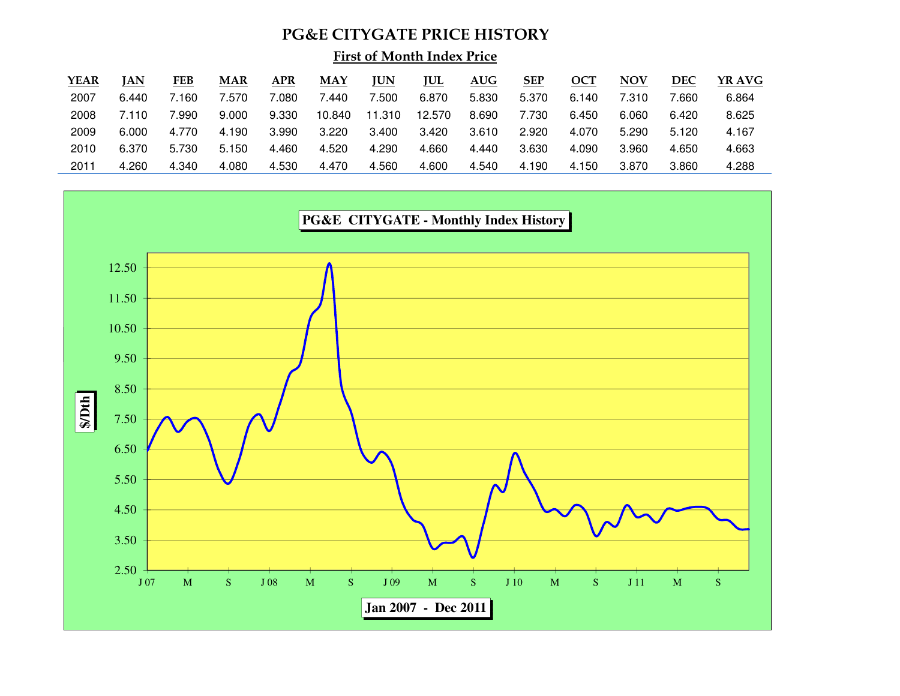## PG&E CITYGATE PRICE HISTORY

First of Month Index Price

| YEAR | IAN   | FEB   | <b>MAR</b> | APR         | MAY    | <u>JUN</u> | <b>JUL</b> | AUG   | <b>SEP</b> | OCT   | <b>NOV</b> | <b>DEC</b> | YR AVG |
|------|-------|-------|------------|-------------|--------|------------|------------|-------|------------|-------|------------|------------|--------|
| 2007 | 6.440 | 7.160 | .570       | $080^\circ$ | 7.440  | .500       | 6.870      | 5.830 | 5.370      | 6.140 | 7.310      | 7.660      | 6.864  |
| 2008 | 7.110 | .990  | 9.000      | 9.330       | 10.840 | .310       | 12.570     | 8.690 | 7.730      | 6.450 | 6.060      | 6.420      | 8.625  |
| 2009 | 6.000 | 4.770 | 4.190      | 3.990       | 3.220  | 3.400      | 3.420      | 3.610 | 2.920      | 4.070 | 5.290      | 5.120      | 4.167  |
| 2010 | 6.370 | 5.730 | 5.150      | 4.460       | 4.520  | 4.290      | 4.660      | 4.440 | 3.630      | 4.090 | 3.960      | 4.650      | 4.663  |
| 2011 | 4.260 | 4.340 | 4.080      | 4.530       | 4.470  | 4.560      | 4.600      | 4.540 | 4.190      | 4.150 | 3.870      | 3.860      | 4.288  |

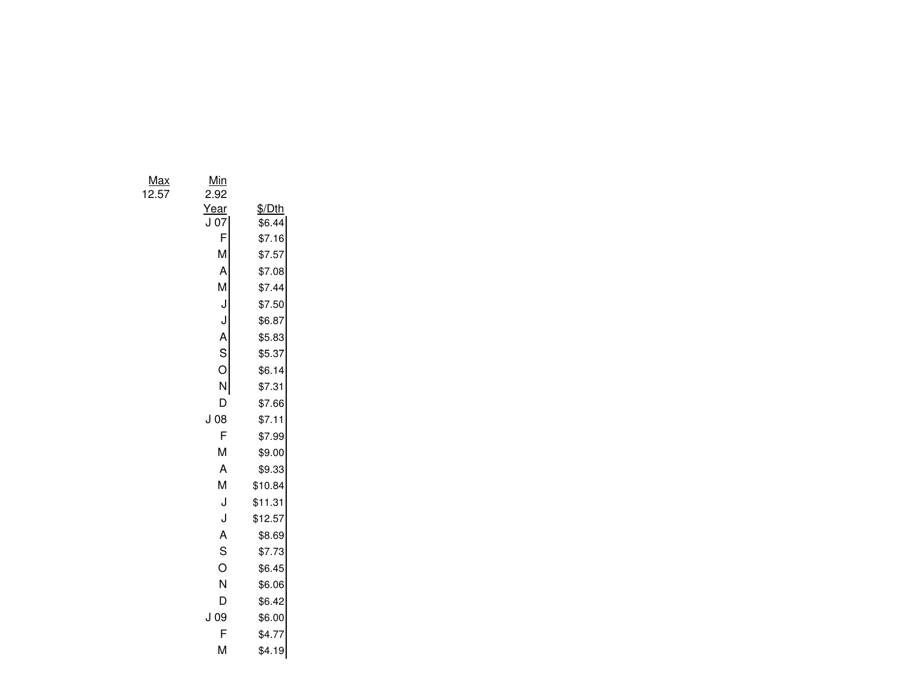Max $\frac{x}{x}$  Min

12.57 2.92

| Year | \$/Dth  |
|------|---------|
| 07   | \$6.44  |
| F    | \$7.16  |
| Μ    | \$7.57  |
| Α    | \$7.08  |
| M    | \$7.44  |
| J    | \$7.50  |
| J    | \$6.87  |
| A    | \$5.83  |
| S    | \$5.37  |
| Ó    | \$6.14  |
| N    | \$7.31  |
| D    | \$7.66  |
| J 08 | \$7.11  |
| F    | \$7.99  |
| м    | \$9.00  |
| A    | \$9.33  |
| M    | \$10.84 |
| J    | \$11.31 |
| J    | \$12.57 |
| A    | \$8.69  |
| Ś    | \$7.73  |
| Ō    | \$6.45  |
| N    | \$6.06  |
| D    | \$6.42  |
| J 09 | \$6.00  |
| F    | \$4.77  |
| Μ    | \$4.19  |
|      |         |